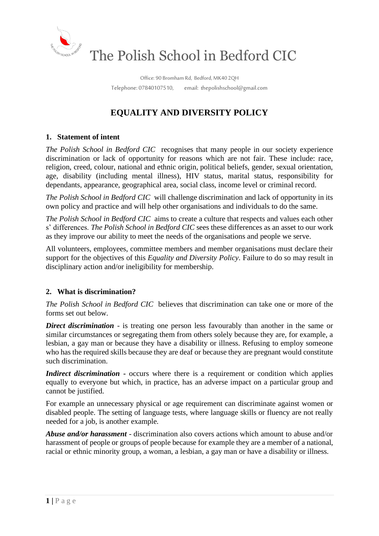

Office: 90 Bromham Rd, Bedford, MK40 2QH Telephone: 07840107510, email: thepolishschool@gmail.com

# **EQUALITY AND DIVERSITY POLICY**

# **1. Statement of intent**

*The Polish School in Bedford CIC* recognises that many people in our society experience discrimination or lack of opportunity for reasons which are not fair. These include: race, religion, creed, colour, national and ethnic origin, political beliefs, gender, sexual orientation, age, disability (including mental illness), HIV status, marital status, responsibility for dependants, appearance, geographical area, social class, income level or criminal record.

*The Polish School in Bedford CIC* will challenge discrimination and lack of opportunity in its own policy and practice and will help other organisations and individuals to do the same.

*The Polish School in Bedford CIC* aims to create a culture that respects and values each other s' differences. *The Polish School in Bedford CIC* sees these differences as an asset to our work as they improve our ability to meet the needs of the organisations and people we serve.

All volunteers, employees, committee members and member organisations must declare their support for the objectives of this *Equality and Diversity Policy*. Failure to do so may result in disciplinary action and/or ineligibility for membership.

## **2. What is discrimination?**

*The Polish School in Bedford CIC* believes that discrimination can take one or more of the forms set out below.

*Direct discrimination* - is treating one person less favourably than another in the same or similar circumstances or segregating them from others solely because they are, for example, a lesbian, a gay man or because they have a disability or illness. Refusing to employ someone who has the required skills because they are deaf or because they are pregnant would constitute such discrimination.

*Indirect discrimination* **-** occurs where there is a requirement or condition which applies equally to everyone but which, in practice, has an adverse impact on a particular group and cannot be justified.

For example an unnecessary physical or age requirement can discriminate against women or disabled people. The setting of language tests, where language skills or fluency are not really needed for a job, is another example.

*Abuse and/or harassment* - discrimination also covers actions which amount to abuse and/or harassment of people or groups of people because for example they are a member of a national, racial or ethnic minority group, a woman, a lesbian, a gay man or have a disability or illness.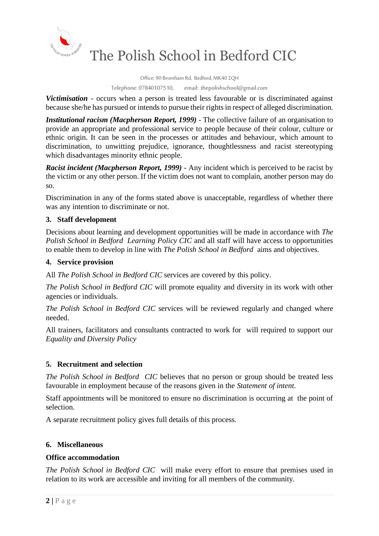

The Polish School in Bedford CIC

Office: 90 Bromham Rd, Bedford, MK40 2QH

Telephone: 07840107510, email: thepolishschool@gmail.com

*Victimisation* - occurs when a person is treated less favourable or is discriminated against because she/he has pursued or intends to pursue their rights in respect of alleged discrimination.

*Institutional racism (Macpherson Report, 1999)* - The collective failure of an organisation to provide an appropriate and professional service to people because of their colour, culture or ethnic origin. It can be seen in the processes or attitudes and behaviour, which amount to discrimination, to unwitting prejudice, ignorance, thoughtlessness and racist stereotyping which disadvantages minority ethnic people.

*Racist incident (Macpherson Report, 1999)* - Any incident which is perceived to be racist by the victim or any other person. If the victim does not want to complain, another person may do so.

Discrimination in any of the forms stated above is unacceptable, regardless of whether there was any intention to discriminate or not.

# **3. Staff development**

Decisions about learning and development opportunities will be made in accordance with *The Polish School in Bedford Learning Policy CIC* and all staff will have access to opportunities to enable them to develop in line with *The Polish School in Bedford* aims and objectives.

# **4. Service provision**

All *The Polish School in Bedford CIC* services are covered by this policy.

*The Polish School in Bedford CIC* will promote equality and diversity in its work with other agencies or individuals.

*The Polish School in Bedford CIC* services will be reviewed regularly and changed where needed.

All trainers, facilitators and consultants contracted to work for will required to support our *Equality and Diversity Policy*

## **5. Recruitment and selection**

*The Polish School in Bedford CIC* believes that no person or group should be treated less favourable in employment because of the reasons given in the *Statement of intent.*

Staff appointments will be monitored to ensure no discrimination is occurring at the point of selection.

A separate recruitment policy gives full details of this process.

## **6. Miscellaneous**

## **Office accommodation**

*The Polish School in Bedford CIC* will make every effort to ensure that premises used in relation to its work are accessible and inviting for all members of the community.